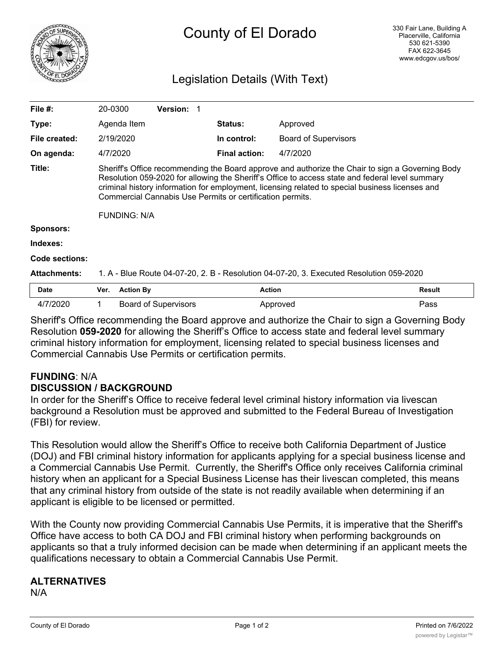

# County of El Dorado

# Legislation Details (With Text)

| File $#$ :          | 20-0300                                                                                                                                                                                                                                                                                                                                                                                    | <b>Version: 1</b>           |                      |                             |               |
|---------------------|--------------------------------------------------------------------------------------------------------------------------------------------------------------------------------------------------------------------------------------------------------------------------------------------------------------------------------------------------------------------------------------------|-----------------------------|----------------------|-----------------------------|---------------|
| Type:               | Agenda Item                                                                                                                                                                                                                                                                                                                                                                                |                             | <b>Status:</b>       | Approved                    |               |
| File created:       | 2/19/2020                                                                                                                                                                                                                                                                                                                                                                                  |                             | In control:          | <b>Board of Supervisors</b> |               |
| On agenda:          | 4/7/2020                                                                                                                                                                                                                                                                                                                                                                                   |                             | <b>Final action:</b> | 4/7/2020                    |               |
| Title:              | Sheriff's Office recommending the Board approve and authorize the Chair to sign a Governing Body<br>Resolution 059-2020 for allowing the Sheriff's Office to access state and federal level summary<br>criminal history information for employment, licensing related to special business licenses and<br>Commercial Cannabis Use Permits or certification permits.<br><b>FUNDING: N/A</b> |                             |                      |                             |               |
| <b>Sponsors:</b>    |                                                                                                                                                                                                                                                                                                                                                                                            |                             |                      |                             |               |
| Indexes:            |                                                                                                                                                                                                                                                                                                                                                                                            |                             |                      |                             |               |
| Code sections:      |                                                                                                                                                                                                                                                                                                                                                                                            |                             |                      |                             |               |
| <b>Attachments:</b> | 1. A - Blue Route 04-07-20, 2. B - Resolution 04-07-20, 3. Executed Resolution 059-2020                                                                                                                                                                                                                                                                                                    |                             |                      |                             |               |
| <b>Date</b>         | <b>Action By</b><br>Ver.                                                                                                                                                                                                                                                                                                                                                                   |                             |                      | <b>Action</b>               | <b>Result</b> |
| 4/7/2020            |                                                                                                                                                                                                                                                                                                                                                                                            | <b>Board of Supervisors</b> |                      | Approved                    | Pass          |

Sheriff's Office recommending the Board approve and authorize the Chair to sign a Governing Body Resolution **059-2020** for allowing the Sheriff's Office to access state and federal level summary criminal history information for employment, licensing related to special business licenses and Commercial Cannabis Use Permits or certification permits.

# **FUNDING**: N/A **DISCUSSION / BACKGROUND**

In order for the Sheriff's Office to receive federal level criminal history information via livescan background a Resolution must be approved and submitted to the Federal Bureau of Investigation (FBI) for review.

This Resolution would allow the Sheriff's Office to receive both California Department of Justice (DOJ) and FBI criminal history information for applicants applying for a special business license and a Commercial Cannabis Use Permit. Currently, the Sheriff's Office only receives California criminal history when an applicant for a Special Business License has their livescan completed, this means that any criminal history from outside of the state is not readily available when determining if an applicant is eligible to be licensed or permitted.

With the County now providing Commercial Cannabis Use Permits, it is imperative that the Sheriff's Office have access to both CA DOJ and FBI criminal history when performing backgrounds on applicants so that a truly informed decision can be made when determining if an applicant meets the qualifications necessary to obtain a Commercial Cannabis Use Permit.

# **ALTERNATIVES**

N/A